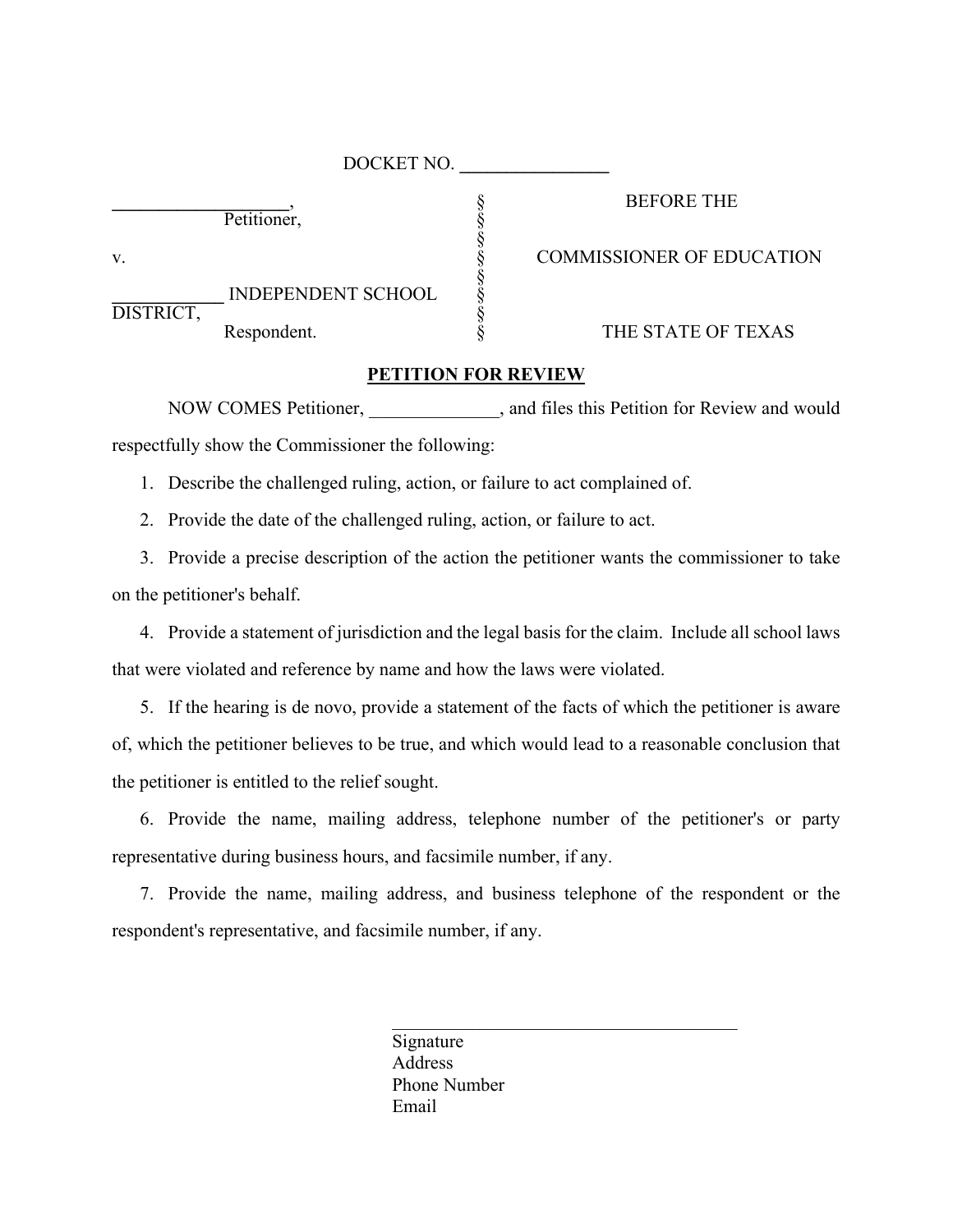|           | DOCKET NO.                               |                                  |
|-----------|------------------------------------------|----------------------------------|
|           | Petitioner,                              | <b>BEFORE THE</b>                |
| v.        |                                          | <b>COMMISSIONER OF EDUCATION</b> |
| DISTRICT, | <b>INDEPENDENT SCHOOL</b><br>Respondent. | THE STATE OF TEXAS               |
|           |                                          |                                  |

## **PETITION FOR REVIEW**

NOW COMES Petitioner,  $\qquad \qquad$ , and files this Petition for Review and would respectfully show the Commissioner the following:

1. Describe the challenged ruling, action, or failure to act complained of.

2. Provide the date of the challenged ruling, action, or failure to act.

3. Provide a precise description of the action the petitioner wants the commissioner to take on the petitioner's behalf.

4. Provide a statement of jurisdiction and the legal basis for the claim. Include all school laws that were violated and reference by name and how the laws were violated.

5. If the hearing is de novo, provide a statement of the facts of which the petitioner is aware of, which the petitioner believes to be true, and which would lead to a reasonable conclusion that the petitioner is entitled to the relief sought.

6. Provide the name, mailing address, telephone number of the petitioner's or party representative during business hours, and facsimile number, if any.

7. Provide the name, mailing address, and business telephone of the respondent or the respondent's representative, and facsimile number, if any.

> Signature Address Phone Number Email